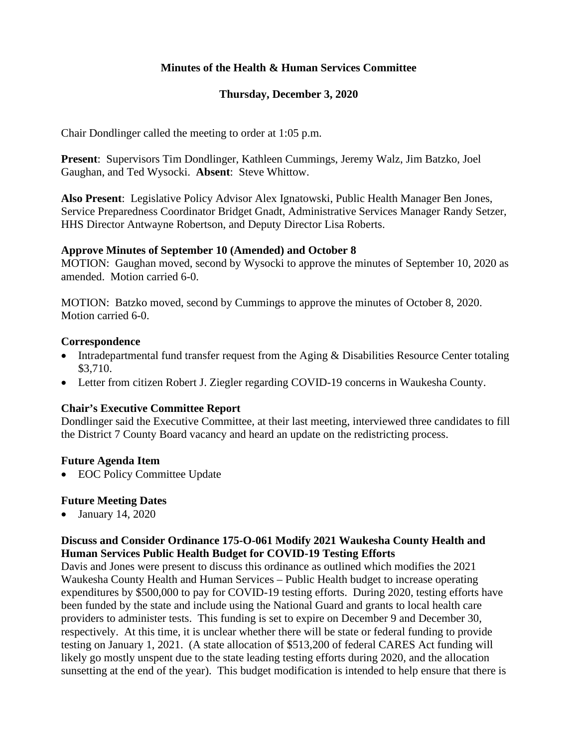# **Minutes of the Health & Human Services Committee**

### **Thursday, December 3, 2020**

Chair Dondlinger called the meeting to order at 1:05 p.m.

**Present**: Supervisors Tim Dondlinger, Kathleen Cummings, Jeremy Walz, Jim Batzko, Joel Gaughan, and Ted Wysocki. **Absent**: Steve Whittow.

**Also Present**: Legislative Policy Advisor Alex Ignatowski, Public Health Manager Ben Jones, Service Preparedness Coordinator Bridget Gnadt, Administrative Services Manager Randy Setzer, HHS Director Antwayne Robertson, and Deputy Director Lisa Roberts.

### **Approve Minutes of September 10 (Amended) and October 8**

MOTION: Gaughan moved, second by Wysocki to approve the minutes of September 10, 2020 as amended. Motion carried 6-0.

MOTION: Batzko moved, second by Cummings to approve the minutes of October 8, 2020. Motion carried 6-0.

#### **Correspondence**

- Intradepartmental fund transfer request from the Aging & Disabilities Resource Center totaling \$3,710.
- Letter from citizen Robert J. Ziegler regarding COVID-19 concerns in Waukesha County.

### **Chair's Executive Committee Report**

Dondlinger said the Executive Committee, at their last meeting, interviewed three candidates to fill the District 7 County Board vacancy and heard an update on the redistricting process.

### **Future Agenda Item**

• EOC Policy Committee Update

### **Future Meeting Dates**

• January 14, 2020

### **Discuss and Consider Ordinance 175-O-061 Modify 2021 Waukesha County Health and Human Services Public Health Budget for COVID-19 Testing Efforts**

Davis and Jones were present to discuss this ordinance as outlined which modifies the 2021 Waukesha County Health and Human Services – Public Health budget to increase operating expenditures by \$500,000 to pay for COVID-19 testing efforts. During 2020, testing efforts have been funded by the state and include using the National Guard and grants to local health care providers to administer tests. This funding is set to expire on December 9 and December 30, respectively. At this time, it is unclear whether there will be state or federal funding to provide testing on January 1, 2021. (A state allocation of \$513,200 of federal CARES Act funding will likely go mostly unspent due to the state leading testing efforts during 2020, and the allocation sunsetting at the end of the year). This budget modification is intended to help ensure that there is